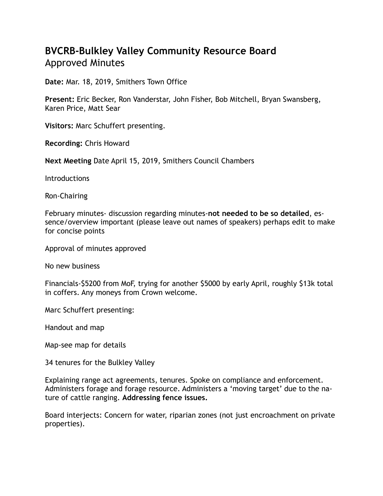## **BVCRB-Bulkley Valley Community Resource Board**  Approved Minutes

**Date:** Mar. 18, 2019, Smithers Town Office

**Present:** Eric Becker, Ron Vanderstar, John Fisher, Bob Mitchell, Bryan Swansberg, Karen Price, Matt Sear

**Visitors:** Marc Schuffert presenting.

**Recording:** Chris Howard

**Next Meeting** Date April 15, 2019, Smithers Council Chambers

**Introductions** 

Ron-Chairing

February minutes- discussion regarding minutes-**not needed to be so detailed**, essence/overview important (please leave out names of speakers) perhaps edit to make for concise points

Approval of minutes approved

No new business

Financials-\$5200 from MoF, trying for another \$5000 by early April, roughly \$13k total in coffers. Any moneys from Crown welcome.

Marc Schuffert presenting:

Handout and map

Map-see map for details

34 tenures for the Bulkley Valley

Explaining range act agreements, tenures. Spoke on compliance and enforcement. Administers forage and forage resource. Administers a 'moving target' due to the nature of cattle ranging. **Addressing fence issues.**

Board interjects: Concern for water, riparian zones (not just encroachment on private properties).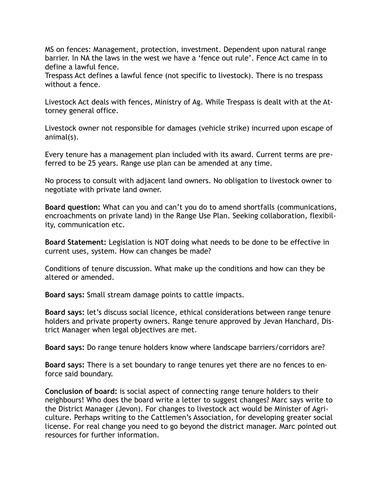MS on fences: Management, protection, investment. Dependent upon natural range barrier. In NA the laws in the west we have a 'fence out rule'. Fence Act came in to define a lawful fence.

Trespass Act defines a lawful fence (not specific to livestock). There is no trespass without a fence.

Livestock Act deals with fences, Ministry of Ag. While Trespass is dealt with at the Attorney general office.

Livestock owner not responsible for damages (vehicle strike) incurred upon escape of animal(s).

Every tenure has a management plan included with its award. Current terms are preferred to be 25 years. Range use plan can be amended at any time.

No process to consult with adjacent land owners. No obligation to livestock owner to negotiate with private land owner.

**Board question:** What can you and can't you do to amend shortfalls (communications, encroachments on private land) in the Range Use Plan. Seeking collaboration, flexibility, communication etc.

**Board Statement:** Legislation is NOT doing what needs to be done to be effective in current uses, system. How can changes be made?

Conditions of tenure discussion. What make up the conditions and how can they be altered or amended.

**Board says:** Small stream damage points to cattle impacts.

**Board says:** let's discuss social licence, ethical considerations between range tenure holders and private property owners. Range tenure approved by Jevan Hanchard, District Manager when legal objectives are met.

**Board says:** Do range tenure holders know where landscape barriers/corridors are?

**Board says:** There is a set boundary to range tenures yet there are no fences to enforce said boundary.

**Conclusion of board:** is social aspect of connecting range tenure holders to their neighbours! Who does the board write a letter to suggest changes? Marc says write to the District Manager (Jevon). For changes to livestock act would be Minister of Agriculture. Perhaps writing to the Cattlemen's Association, for developing greater social license. For real change you need to go beyond the district manager. Marc pointed out resources for further information.